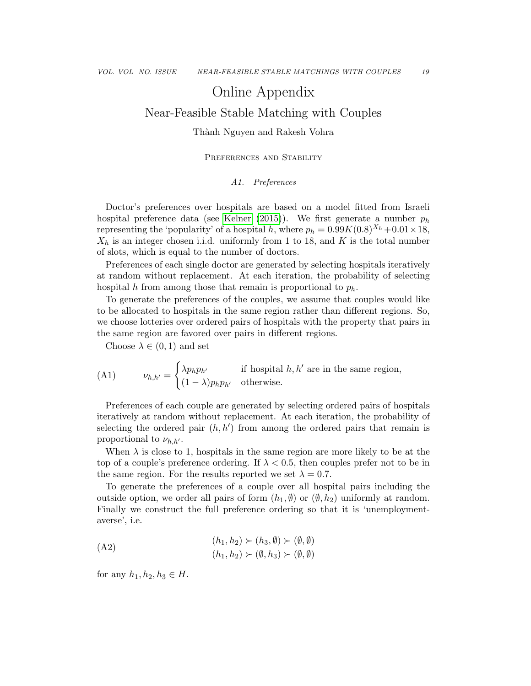# Online Appendix

## Near-Feasible Stable Matching with Couples

## Thành Nguyen and Rakesh Vohra

## PREFERENCES AND STABILITY

### A1. Preferences

Doctor's preferences over hospitals are based on a model fitted from Israeli hospital preference data (see [Kelner](#page--1-0) [\(2015\)](#page--1-0)). We first generate a number  $p_h$ representing the 'popularity' of a hospital h, where  $p_h = 0.99K(0.8)^{X_h} + 0.01 \times 18$ ,  $X_h$  is an integer chosen i.i.d. uniformly from 1 to 18, and K is the total number of slots, which is equal to the number of doctors.

Preferences of each single doctor are generated by selecting hospitals iteratively at random without replacement. At each iteration, the probability of selecting hospital h from among those that remain is proportional to  $p_h$ .

To generate the preferences of the couples, we assume that couples would like to be allocated to hospitals in the same region rather than different regions. So, we choose lotteries over ordered pairs of hospitals with the property that pairs in the same region are favored over pairs in different regions.

Choose  $\lambda \in (0,1)$  and set

(A1) 
$$
\nu_{h,h'} = \begin{cases} \lambda p_h p_{h'} & \text{if hospital } h, h' \text{ are in the same region,} \\ (1 - \lambda) p_h p_{h'} & \text{otherwise.} \end{cases}
$$

Preferences of each couple are generated by selecting ordered pairs of hospitals iteratively at random without replacement. At each iteration, the probability of selecting the ordered pair  $(h, h')$  from among the ordered pairs that remain is proportional to  $\nu_{h,h'}$ .

When  $\lambda$  is close to 1, hospitals in the same region are more likely to be at the top of a couple's preference ordering. If  $\lambda < 0.5$ , then couples prefer not to be in the same region. For the results reported we set  $\lambda = 0.7$ .

To generate the preferences of a couple over all hospital pairs including the outside option, we order all pairs of form  $(h_1, \emptyset)$  or  $(\emptyset, h_2)$  uniformly at random. Finally we construct the full preference ordering so that it is 'unemploymentaverse', i.e.

(A2) 
$$
(h_1, h_2) \succ (h_3, \emptyset) \succ (\emptyset, \emptyset)
$$
  
 $(h_1, h_2) \succ (\emptyset, h_3) \succ (\emptyset, \emptyset)$ 

for any  $h_1, h_2, h_3 \in H$ .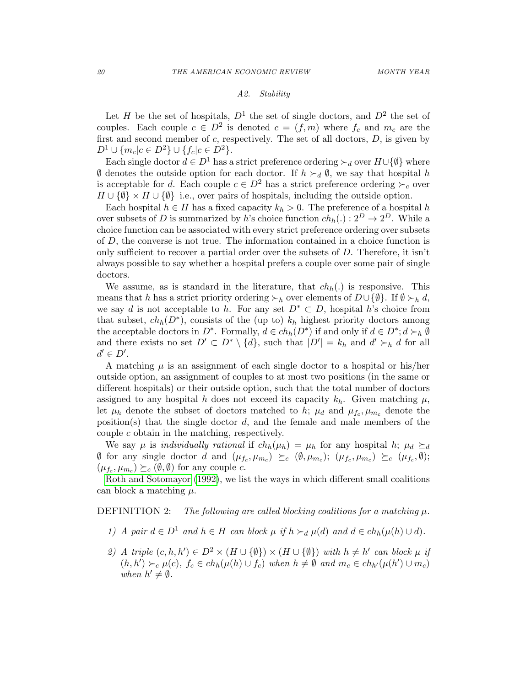### A2. Stability

Let H be the set of hospitals,  $D^1$  the set of single doctors, and  $D^2$  the set of couples. Each couple  $c \in D^2$  is denoted  $c = (f, m)$  where  $f_c$  and  $m_c$  are the first and second member of  $c$ , respectively. The set of all doctors,  $D$ , is given by  $D^1 \cup \{m_c | c \in D^2\} \cup \{f_c | c \in D^2\}.$ 

Each single doctor  $d \in D^1$  has a strict preference ordering  $\succ_d$  over  $H \cup \{\emptyset\}$  where  $\emptyset$  denotes the outside option for each doctor. If  $h \succ_d \emptyset$ , we say that hospital h is acceptable for d. Each couple  $c \in D^2$  has a strict preference ordering  $\succ_c$  over  $H \cup {\emptyset} \times H \cup {\emptyset}$ -i.e., over pairs of hospitals, including the outside option.

Each hospital  $h \in H$  has a fixed capacity  $k_h > 0$ . The preference of a hospital h over subsets of D is summarized by h's choice function  $ch_h(.) : 2^D \to 2^D$ . While a choice function can be associated with every strict preference ordering over subsets of D, the converse is not true. The information contained in a choice function is only sufficient to recover a partial order over the subsets of  $D$ . Therefore, it isn't always possible to say whether a hospital prefers a couple over some pair of single doctors.

We assume, as is standard in the literature, that  $ch<sub>h</sub>(.)$  is responsive. This means that h has a strict priority ordering  $\succ_h$  over elements of  $D\cup \{\emptyset\}$ . If  $\emptyset \succ_h d$ , we say d is not acceptable to h. For any set  $D^* \subset D$ , hospital h's choice from that subset,  $ch_h(D^*)$ , consists of the (up to)  $k_h$  highest priority doctors among the acceptable doctors in  $D^*$ . Formally,  $d \in ch_h(D^*)$  if and only if  $d \in D^*$ ;  $d \succ_h \emptyset$ and there exists no set  $D' \subset D^* \setminus \{d\}$ , such that  $|D'| = k_h$  and  $d' \succ_h d$  for all  $d' \in D'.$ 

A matching  $\mu$  is an assignment of each single doctor to a hospital or his/her outside option, an assignment of couples to at most two positions (in the same or different hospitals) or their outside option, such that the total number of doctors assigned to any hospital h does not exceed its capacity  $k_h$ . Given matching  $\mu$ , let  $\mu_h$  denote the subset of doctors matched to h;  $\mu_d$  and  $\mu_{f_c}, \mu_{m_c}$  denote the position(s) that the single doctor  $d$ , and the female and male members of the couple c obtain in the matching, respectively.

We say  $\mu$  is *individually rational* if  $ch_h(\mu_h) = \mu_h$  for any hospital h;  $\mu_d \succeq_d$  $\emptyset$  for any single doctor d and  $(\mu_{f_c}, \mu_{m_c}) \succeq_c (\emptyset, \mu_{m_c});$   $(\mu_{f_c}, \mu_{m_c}) \succeq_c (\mu_{f_c}, \emptyset);$  $(\mu_{f_c}, \mu_{m_c}) \succeq_c (\emptyset, \emptyset)$  for any couple c.

[Roth and Sotomayor](#page--1-1) [\(1992\)](#page--1-1), we list the ways in which different small coalitions can block a matching  $\mu$ .

DEFINITION 2: The following are called blocking coalitions for a matching  $\mu$ .

- <span id="page-1-0"></span>1) A pair  $d \in D^1$  and  $h \in H$  can block  $\mu$  if  $h \succ_d \mu(d)$  and  $d \in ch_h(\mu(h) \cup d)$ .
- 2) A triple  $(c, h, h') \in D^2 \times (H \cup \{\emptyset\}) \times (H \cup \{\emptyset\})$  with  $h \neq h'$  can block  $\mu$  if  $(h, h') \succ_c \mu(c)$ ,  $f_c \in ch_h(\mu(h) \cup f_c)$  when  $h \neq \emptyset$  and  $m_c \in ch_{h'}(\mu(h') \cup m_c)$ when  $h' \neq \emptyset$ .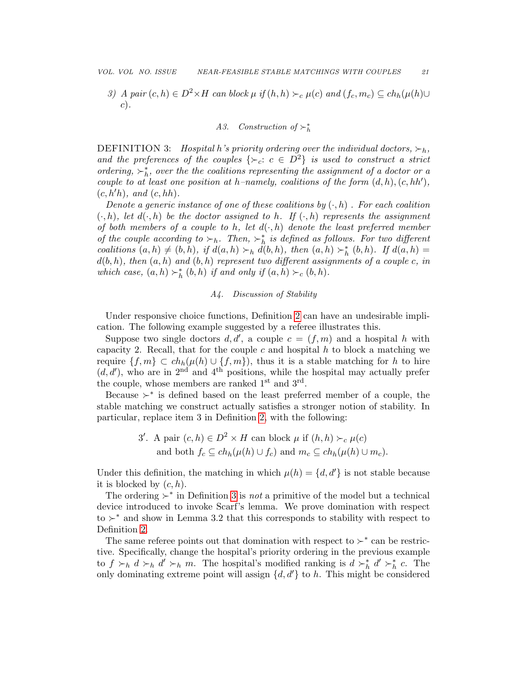3) A pair  $(c, h) \in D^2 \times H$  can block  $\mu$  if  $(h, h) \succ_c \mu(c)$  and  $(f_c, m_c) \subseteq ch_h(\mu(h) \cup$ c).

## A3. Construction of  $\succ^*_{h}$

<span id="page-2-0"></span>DEFINITION 3: Hospital h's priority ordering over the individual doctors,  $\succ_h$ , and the preferences of the couples  $\{\succ_c : c \in D^2\}$  is used to construct a strict ordering,  $\succ_h^*$ , over the the coalitions representing the assignment of a doctor or a couple to at least one position at h–namely, coalitions of the form  $(d, h), (c, hh')$ ,  $(c, h'h)$ , and  $(c, hh)$ .

Denote a generic instance of one of these coalitions by  $(\cdot, h)$ . For each coalition  $(\cdot, h)$ , let  $d(\cdot, h)$  be the doctor assigned to h. If  $(\cdot, h)$  represents the assignment of both members of a couple to h, let  $d(\cdot, h)$  denote the least preferred member of the couple according to  $\succ_h$ . Then,  $\succ_h^*$  is defined as follows. For two different coalitions  $(a, h) \neq (b, h)$ , if  $d(a, h) \succ_h d(b, h)$ , then  $(a, h) \succ_h^* (b, h)$ . If  $d(a, h) =$  $d(b, h)$ , then  $(a, h)$  and  $(b, h)$  represent two different assignments of a couple c, in which case,  $(a, h) \succ^*_{h} (b, h)$  if and only if  $(a, h) \succ_c (b, h)$ .

### A4. Discussion of Stability

Under responsive choice functions, Definition [2](#page-1-0) can have an undesirable implication. The following example suggested by a referee illustrates this.

Suppose two single doctors  $d, d'$ , a couple  $c = (f, m)$  and a hospital h with capacity 2. Recall, that for the couple c and hospital h to block a matching we require  $\{f, m\} \subset ch_h(\mu(h) \cup \{f, m\})$ , thus it is a stable matching for h to hire  $(d, d')$ , who are in 2<sup>nd</sup> and 4<sup>th</sup> positions, while the hospital may actually prefer the couple, whose members are ranked  $1<sup>st</sup>$  and  $3<sup>rd</sup>$ .

Because  $\succ^*$  is defined based on the least preferred member of a couple, the stable matching we construct actually satisfies a stronger notion of stability. In particular, replace item 3 in Definition [2,](#page-1-0) with the following:

3'. A pair 
$$
(c, h) \in D^2 \times H
$$
 can block  $\mu$  if  $(h, h) \succ_c \mu(c)$   
and both  $f_c \subseteq ch_h(\mu(h) \cup f_c)$  and  $m_c \subseteq ch_h(\mu(h) \cup m_c)$ .

Under this definition, the matching in which  $\mu(h) = \{d, d'\}\$ is not stable because it is blocked by  $(c, h)$ .

The ordering  $\succ^*$  in Definition [3](#page-2-0) is *not* a primitive of the model but a technical device introduced to invoke Scarf's lemma. We prove domination with respect to  $\succ^*$  and show in Lemma 3.2 that this corresponds to stability with respect to Definition [2.](#page-1-0)

The same referee points out that domination with respect to  $\succ^*$  can be restrictive. Specifically, change the hospital's priority ordering in the previous example to  $f \succ_h d \succ_h d' \succ_h m$ . The hospital's modified ranking is  $d \succ_h^* d' \succ_h^* c$ . The only dominating extreme point will assign  $\{d, d'\}$  to h. This might be considered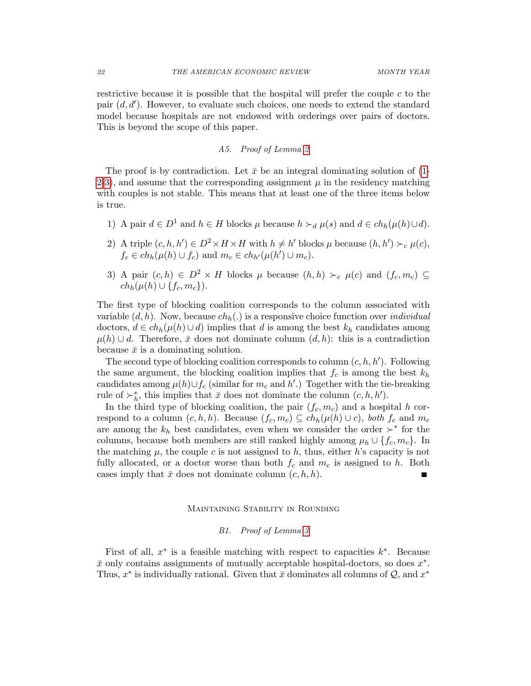restrictive because it is possible that the hospital will prefer the couple  $c$  to the pair  $(d, d')$ . However, to evaluate such choices, one needs to extend the standard model because hospitals are not endowed with orderings over pairs of doctors. This is beyond the scope of this paper.

## A5. Proof of Lemma [2](#page--1-2)

The proof is by contradiction. Let  $\bar{x}$  be an integral dominating solution of [\(1-](#page--1-3) [2-](#page--1-4)[3\)](#page--1-5), and assume that the corresponding assignment  $\mu$  in the residency matching with couples is not stable. This means that at least one of the three items below is true.

- 1) A pair  $d \in D^1$  and  $h \in H$  blocks  $\mu$  because  $h \succ_d \mu(s)$  and  $d \in ch_h(\mu(h) \cup d)$ .
- 2) A triple  $(c, h, h') \in D^2 \times H \times H$  with  $h \neq h'$  blocks  $\mu$  because  $(h, h') \succ_c \mu(c)$ ,  $f_c \in ch_h(\mu(h) \cup f_c)$  and  $m_c \in ch_{h'}(\mu(h') \cup m_c)$ .
- 3) A pair  $(c, h) \in D^2 \times H$  blocks  $\mu$  because  $(h, h) \succ_c \mu(c)$  and  $(f_c, m_c) \subseteq$  $ch_h(\mu(h) \cup \{f_c, m_c\}).$

The first type of blocking coalition corresponds to the column associated with variable  $(d, h)$ . Now, because  $ch_h(.)$  is a responsive choice function over *individual* doctors,  $d \in ch_h(\mu(h) \cup d)$  implies that d is among the best  $k_h$  candidates among  $\mu(h) \cup d$ . Therefore,  $\bar{x}$  does not dominate column  $(d, h)$ : this is a contradiction because  $\bar{x}$  is a dominating solution.

The second type of blocking coalition corresponds to column  $(c, h, h')$ . Following the same argument, the blocking coalition implies that  $f_c$  is among the best  $k_h$ candidates among  $\mu(h) \cup f_c$  (similar for  $m_c$  and  $h'$ .) Together with the tie-breaking rule of  $\succ_h^*$ , this implies that  $\bar{x}$  does not dominate the column  $(c, h, h')$ .

In the third type of blocking coalition, the pair  $(f_c, m_c)$  and a hospital h correspond to a column  $(c, h, h)$ . Because  $(f_c, m_c) \subseteq ch_h(\mu(h) \cup c)$ , both  $f_c$  and  $m_c$ are among the  $k_h$  best candidates, even when we consider the order  $\succ^*$  for the columns, because both members are still ranked highly among  $\mu_h \cup \{f_c, m_c\}$ . In the matching  $\mu$ , the couple c is not assigned to h, thus, either h's capacity is not fully allocated, or a doctor worse than both  $f_c$  and  $m_c$  is assigned to h. Both cases imply that  $\bar{x}$  does not dominate column  $(c, h, h)$ . П

## Maintaining Stability in Rounding

#### B1. Proof of Lemma [3](#page--1-6)

<span id="page-3-0"></span>First of all,  $x^*$  is a feasible matching with respect to capacities  $k^*$ . Because  $\bar{x}$  only contains assignments of mutually acceptable hospital-doctors, so does  $x^*$ . Thus,  $x^*$  is individually rational. Given that  $\bar{x}$  dominates all columns of  $\mathcal{Q}$ , and  $x^*$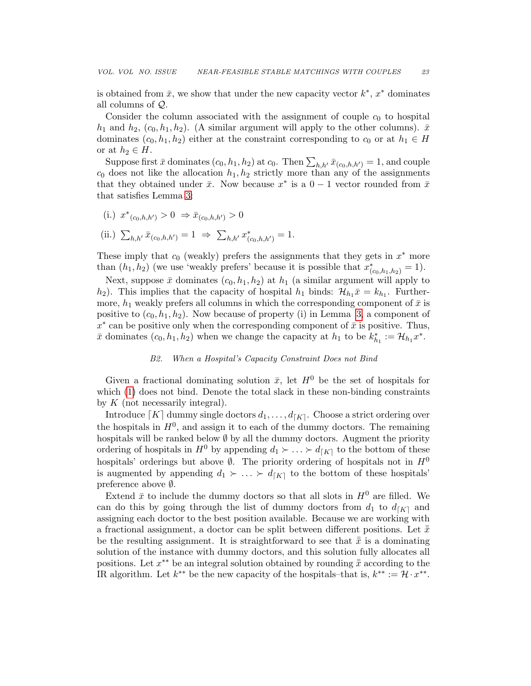is obtained from  $\bar{x}$ , we show that under the new capacity vector  $k^*$ ,  $x^*$  dominates all columns of Q.

Consider the column associated with the assignment of couple  $c_0$  to hospital  $h_1$  and  $h_2$ ,  $(c_0, h_1, h_2)$ . (A similar argument will apply to the other columns).  $\bar{x}$ dominates  $(c_0, h_1, h_2)$  either at the constraint corresponding to  $c_0$  or at  $h_1 \in H$ or at  $h_2 \in H$ .

Suppose first  $\bar{x}$  dominates  $(c_0, h_1, h_2)$  at  $c_0$ . Then  $\sum_{h,h'} \bar{x}_{(c_0,h,h')} = 1$ , and couple  $c_0$  does not like the allocation  $h_1, h_2$  strictly more than any of the assignments that they obtained under  $\bar{x}$ . Now because  $x^*$  is a  $0-1$  vector rounded from  $\bar{x}$ that satisfies Lemma [3:](#page--1-6)

(i.)  $x^*_{(c_0,h,h')} > 0 \Rightarrow \bar{x}_{(c_0,h,h')} > 0$ 

(ii.) 
$$
\sum_{h,h'} \bar{x}_{(c_0,h,h')} = 1 \Rightarrow \sum_{h,h'} x^*_{(c_0,h,h')} = 1.
$$

These imply that  $c_0$  (weakly) prefers the assignments that they gets in  $x^*$  more than  $(h_1, h_2)$  (we use 'weakly prefers' because it is possible that  $x^*_{(c_0, h_1, h_2)} = 1$ ).

Next, suppose  $\bar{x}$  dominates  $(c_0, h_1, h_2)$  at  $h_1$  (a similar argument will apply to  $h_2$ ). This implies that the capacity of hospital  $h_1$  binds:  $\mathcal{H}_{h_1}\bar{x} = k_{h_1}$ . Furthermore,  $h_1$  weakly prefers all columns in which the corresponding component of  $\bar{x}$  is positive to  $(c_0, h_1, h_2)$ . Now because of property (i) in Lemma [3,](#page--1-6) a component of  $x^*$  can be positive only when the corresponding component of  $\bar{x}$  is positive. Thus,  $\bar{x}$  dominates  $(c_0, h_1, h_2)$  when we change the capacity at  $h_1$  to be  $k_{h_1}^* := \mathcal{H}_{h_1} x^*$ .

## B2. When a Hospital's Capacity Constraint Does not Bind

Given a fractional dominating solution  $\bar{x}$ , let  $H^0$  be the set of hospitals for which [\(1\)](#page--1-3) does not bind. Denote the total slack in these non-binding constraints by  $K$  (not necessarily integral).

Introduce  $[K]$  dummy single doctors  $d_1, \ldots, d_{[K]}$ . Choose a strict ordering over the hospitals in  $H^0$ , and assign it to each of the dummy doctors. The remaining hospitals will be ranked below  $\emptyset$  by all the dummy doctors. Augment the priority ordering of hospitals in  $H^0$  by appending  $d_1 \succ \ldots \succ d_{\lceil K \rceil}$  to the bottom of these hospitals' orderings but above  $\emptyset$ . The priority ordering of hospitals not in  $H^0$ is augmented by appending  $d_1 \succ \ldots \succ d_{\lceil K \rceil}$  to the bottom of these hospitals' preference above ∅.

Extend  $\bar{x}$  to include the dummy doctors so that all slots in  $H^0$  are filled. We can do this by going through the list of dummy doctors from  $d_1$  to  $d_{[K]}$  and assigning each doctor to the best position available. Because we are working with a fractional assignment, a doctor can be split between different positions. Let  $\bar{\bar{x}}$ be the resulting assignment. It is straightforward to see that  $\bar{\bar{x}}$  is a dominating solution of the instance with dummy doctors, and this solution fully allocates all positions. Let  $x^{**}$  be an integral solution obtained by rounding  $\bar{\bar{x}}$  according to the IR algorithm. Let  $k^{**}$  be the new capacity of the hospitals–that is,  $k^{**} := \mathcal{H} \cdot x^{**}$ .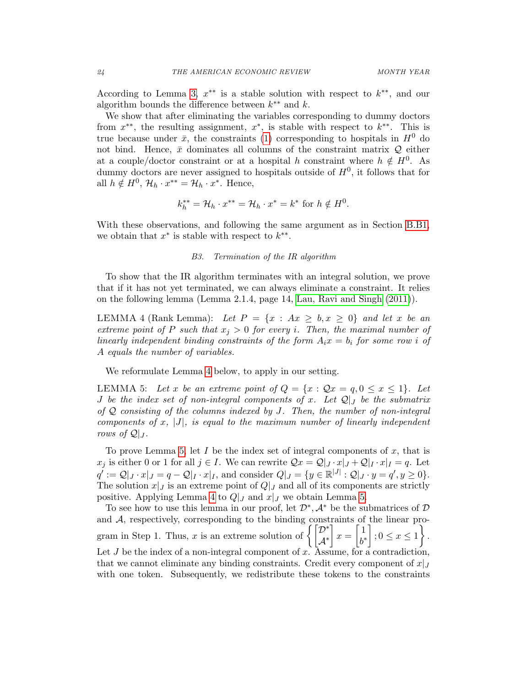According to Lemma [3,](#page--1-6)  $x^{**}$  is a stable solution with respect to  $k^{**}$ , and our algorithm bounds the difference between  $k^{**}$  and  $k$ .

We show that after eliminating the variables corresponding to dummy doctors from  $x^{**}$ , the resulting assignment,  $x^*$ , is stable with respect to  $k^{**}$ . This is true because under  $\bar{x}$ , the constraints [\(1\)](#page--1-3) corresponding to hospitals in  $H^0$  do not bind. Hence,  $\bar{x}$  dominates all columns of the constraint matrix  $Q$  either at a couple/doctor constraint or at a hospital h constraint where  $h \notin H^0$ . As dummy doctors are never assigned to hospitals outside of  $H^0$ , it follows that for all  $h \notin H^0$ ,  $\mathcal{H}_h \cdot x^{**} = \mathcal{H}_h \cdot x^*$ . Hence,

$$
k_h^{**} = \mathcal{H}_h \cdot x^{**} = \mathcal{H}_h \cdot x^* = k^* \text{ for } h \notin H^0.
$$

With these observations, and following the same argument as in Section [B.B1,](#page-3-0) we obtain that  $x^*$  is stable with respect to  $k^{**}$ .

## <span id="page-5-1"></span>B3. Termination of the IR algorithm

<span id="page-5-2"></span>To show that the IR algorithm terminates with an integral solution, we prove that if it has not yet terminated, we can always eliminate a constraint. It relies on the following lemma (Lemma 2.1.4, page 14, [Lau, Ravi and Singh](#page--1-7) [\(2011\)](#page--1-7)).

<span id="page-5-0"></span>LEMMA 4 (Rank Lemma): Let  $P = \{x : Ax \geq b, x \geq 0\}$  and let x be an extreme point of P such that  $x_j > 0$  for every i. Then, the maximal number of linearly independent binding constraints of the form  $A_i x = b_i$  for some row i of A equals the number of variables.

We reformulate Lemma [4](#page-5-0) below, to apply in our setting.

LEMMA 5: Let x be an extreme point of  $Q = \{x : Qx = q, 0 \le x \le 1\}$ . Let J be the index set of non-integral components of x. Let  $\mathcal{Q}|_J$  be the submatrix of  $Q$  consisting of the columns indexed by J. Then, the number of non-integral components of  $x$ ,  $|J|$ , is equal to the maximum number of linearly independent rows of  $\mathcal{Q}|_J$ .

To prove Lemma [5,](#page-5-1) let  $I$  be the index set of integral components of  $x$ , that is  $x_j$  is either 0 or 1 for all  $j \in I$ . We can rewrite  $\mathcal{Q}x = \mathcal{Q}|_J \cdot x|_J + \mathcal{Q}|_I \cdot x|_I = q$ . Let  $q' := \mathcal{Q}|_J \cdot x|_J = q - \mathcal{Q}|_I \cdot x|_I$ , and consider  $Q|_J = \{y \in \mathbb{R}^{|J|} : \mathcal{Q}|_J \cdot y = q', y \ge 0\}.$ The solution  $x|_J$  is an extreme point of  $Q|_J$  and all of its components are strictly positive. Applying Lemma [4](#page-5-0) to  $Q|_J$  and  $x|_J$  we obtain Lemma [5.](#page-5-1)

To see how to use this lemma in our proof, let  $\mathcal{D}^*, \mathcal{A}^*$  be the submatrices of  $\mathcal D$ and A, respectively, corresponding to the binding constraints of the linear program in Step 1. Thus, x is an extreme solution of  $\left\{ \begin{bmatrix} \mathcal{D}^* \\ A^* \end{bmatrix} \right\}$  $\mathcal{A}^*$  $x = \begin{bmatrix} 1 \\ 1 \end{bmatrix}$ b ∗  $\Big]$ ;  $0 \leq x \leq 1$ . Let  $J$  be the index of a non-integral component of  $x$ . Assume, for a contradiction, that we cannot eliminate any binding constraints. Credit every component of  $x|_J$ with one token. Subsequently, we redistribute these tokens to the constraints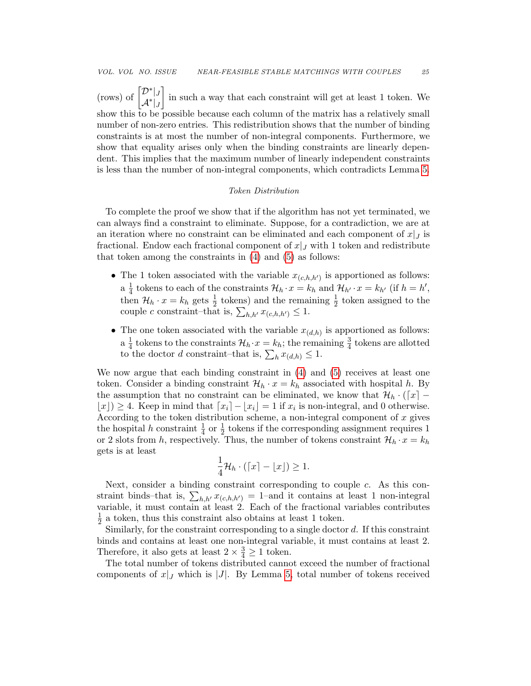(rows) of  $\begin{bmatrix} \mathcal{D}^*|_J \\ \mathcal{A}^*|_J \end{bmatrix}$  in such a way that each constraint will get at least 1 token. We show this to be possible because each column of the matrix has a relatively small number of non-zero entries. This redistribution shows that the number of binding constraints is at most the number of non-integral components. Furthermore, we show that equality arises only when the binding constraints are linearly dependent. This implies that the maximum number of linearly independent constraints is less than the number of non-integral components, which contradicts Lemma [5.](#page-5-1)

## Token Distribution

To complete the proof we show that if the algorithm has not yet terminated, we can always find a constraint to eliminate. Suppose, for a contradiction, we are at an iteration where no constraint can be eliminated and each component of  $x|_J$  is fractional. Endow each fractional component of  $x|_J$  with 1 token and redistribute that token among the constraints in [\(4\)](#page--1-8) and [\(5\)](#page--1-9) as follows:

- The 1 token associated with the variable  $x_{(c,h,h')}$  is apportioned as follows:  $a \frac{1}{4}$  $\frac{1}{4}$  tokens to each of the constraints  $\mathcal{H}_h \cdot x = k_h$  and  $\mathcal{H}_{h'} \cdot x = k_{h'}$  (if  $h = h'$ , then  $\mathcal{H}_h \cdot x = k_h$  gets  $\frac{1}{2}$  tokens) and the remaining  $\frac{1}{2}$  token assigned to the couple c constraint–that is,  $\sum_{h,h'} x_{(c,h,h')} \leq 1$ .
- The one token associated with the variable  $x_{(d,h)}$  is apportioned as follows:  $a \frac{1}{4}$  $\frac{1}{4}$  tokens to the constraints  $\mathcal{H}_h \cdot x = k_h$ ; the remaining  $\frac{3}{4}$  tokens are allotted to the doctor *d* constraint–that is,  $\sum_h x_{(d,h)} \leq 1$ .

We now argue that each binding constraint in [\(4\)](#page--1-8) and [\(5\)](#page--1-9) receives at least one token. Consider a binding constraint  $\mathcal{H}_h \cdot x = k_h$  associated with hospital h. By the assumption that no constraint can be eliminated, we know that  $\mathcal{H}_h \cdot (\lceil x \rceil \lfloor x \rfloor$ ) ≥ 4. Keep in mind that  $\lfloor x_i \rfloor - \lfloor x_i \rfloor = 1$  if  $x_i$  is non-integral, and 0 otherwise. According to the token distribution scheme, a non-integral component of  $x$  gives the hospital h constraint  $\frac{1}{4}$  or  $\frac{1}{2}$  tokens if the corresponding assignment requires 1 or 2 slots from h, respectively. Thus, the number of tokens constraint  $\mathcal{H}_h \cdot x = k_h$ gets is at least

$$
\frac{1}{4}\mathcal{H}_h\cdot(\lceil x\rceil - \lfloor x\rfloor) \ge 1.
$$

Next, consider a binding constraint corresponding to couple c. As this constraint binds–that is,  $\sum_{h,h'} x_{(c,h,h')} = 1$ –and it contains at least 1 non-integral variable, it must contain at least  $\overline{2}$ . Each of the fractional variables contributes 1  $\frac{1}{2}$  a token, thus this constraint also obtains at least 1 token.

Similarly, for the constraint corresponding to a single doctor d. If this constraint binds and contains at least one non-integral variable, it must contains at least 2. Therefore, it also gets at least  $2 \times \frac{3}{4} \ge 1$  token.

The total number of tokens distributed cannot exceed the number of fractional components of  $x|_J$  which is |J|. By Lemma [5,](#page-5-1) total number of tokens received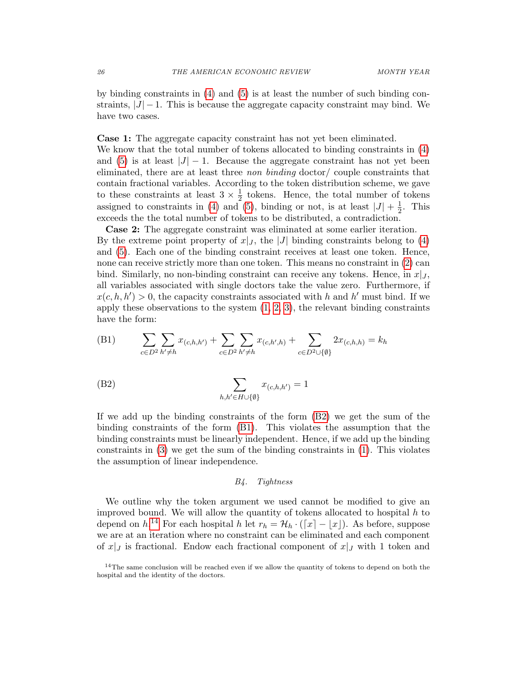by binding constraints in [\(4\)](#page--1-8) and [\(5\)](#page--1-9) is at least the number of such binding constraints,  $|J| - 1$ . This is because the aggregate capacity constraint may bind. We have two cases.

Case 1: The aggregate capacity constraint has not yet been eliminated. We know that the total number of tokens allocated to binding constraints in [\(4\)](#page--1-8) and [\(5\)](#page--1-9) is at least  $|J| - 1$ . Because the aggregate constraint has not yet been eliminated, there are at least three non binding doctor/ couple constraints that contain fractional variables. According to the token distribution scheme, we gave to these constraints at least  $3 \times \frac{1}{2}$  $\frac{1}{2}$  tokens. Hence, the total number of tokens assigned to constraints in [\(4\)](#page--1-8) and [\(5\)](#page--1-9), binding or not, is at least  $|J| + \frac{1}{2}$  $\frac{1}{2}$ . This exceeds the the total number of tokens to be distributed, a contradiction.

Case 2: The aggregate constraint was eliminated at some earlier iteration. By the extreme point property of  $x|_J$ , the |J| binding constraints belong to [\(4\)](#page--1-8) and [\(5\)](#page--1-9). Each one of the binding constraint receives at least one token. Hence, none can receive strictly more than one token. This means no constraint in [\(2\)](#page--1-4) can bind. Similarly, no non-binding constraint can receive any tokens. Hence, in  $x|_J$ , all variables associated with single doctors take the value zero. Furthermore, if  $x(c, h, h') > 0$ , the capacity constraints associated with h and h' must bind. If we apply these observations to the system  $(1, 2, 3)$  $(1, 2, 3)$  $(1, 2, 3)$ , the relevant binding constraints have the form:

<span id="page-7-1"></span>(B1) 
$$
\sum_{c \in D^2} \sum_{h' \neq h} x_{(c,h,h')} + \sum_{c \in D^2} \sum_{h' \neq h} x_{(c,h',h)} + \sum_{c \in D^2 \cup \{\emptyset\}} 2x_{(c,h,h)} = k_h
$$

(B2) 
$$
\sum_{h,h' \in H \cup \{\emptyset\}} x_{(c,h,h')} = 1
$$

If we add up the binding constraints of the form [\(B2\)](#page-7-0) we get the sum of the binding constraints of the form [\(B1\)](#page-7-1). This violates the assumption that the binding constraints must be linearly independent. Hence, if we add up the binding constraints in [\(3\)](#page--1-5) we get the sum of the binding constraints in [\(1\)](#page--1-3). This violates the assumption of linear independence.

## <span id="page-7-0"></span>B4. Tightness

We outline why the token argument we used cannot be modified to give an improved bound. We will allow the quantity of tokens allocated to hospital  $h$  to depend on  $h^{14}$  $h^{14}$  $h^{14}$  For each hospital h let  $r_h = \mathcal{H}_h \cdot (\lceil x \rceil - \lfloor x \rfloor)$ . As before, suppose we are at an iteration where no constraint can be eliminated and each component of  $x|_J$  is fractional. Endow each fractional component of  $x|_J$  with 1 token and

<span id="page-7-2"></span><sup>&</sup>lt;sup>14</sup>The same conclusion will be reached even if we allow the quantity of tokens to depend on both the hospital and the identity of the doctors.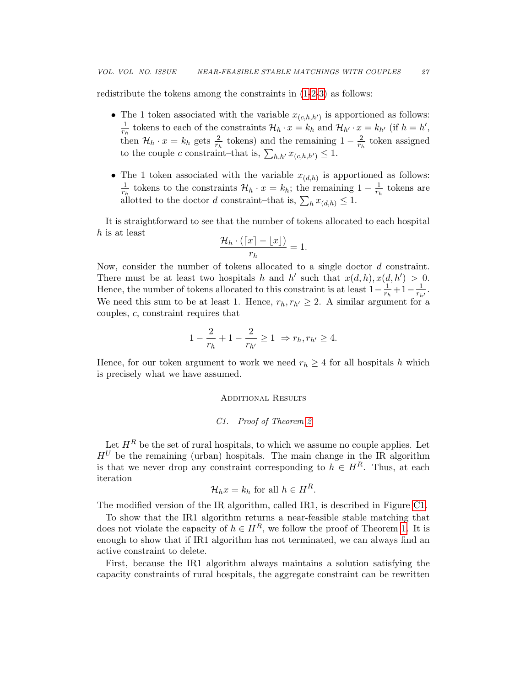redistribute the tokens among the constraints in [\(1-](#page--1-3)[2](#page--1-4)[-3\)](#page--1-5) as follows:

- The 1 token associated with the variable  $x_{(c,h,h')}$  is apportioned as follows: 1  $\frac{1}{r_h}$  tokens to each of the constraints  $\mathcal{H}_h \cdot x = k_h$  and  $\mathcal{H}_{h'} \cdot x = k_{h'}$  (if  $h = h'$ , then  $\mathcal{H}_h \cdot x = k_h$  gets  $\frac{2}{r_h}$  tokens) and the remaining  $1 - \frac{2}{r_h}$  $\frac{2}{r_h}$  token assigned to the couple c constraint–that is,  $\sum_{h,h'} x_{(c,h,h')} \leq 1$ .
- The 1 token associated with the variable  $x_{(d,h)}$  is apportioned as follows: 1  $\frac{1}{r_h}$  tokens to the constraints  $\mathcal{H}_h \cdot x = k_h$ ; the remaining  $1 - \frac{1}{r_h}$  $\frac{1}{r_h}$  tokens are allotted to the doctor d constraint–that is,  $\sum_h x_{(d,h)} \leq 1$ .

It is straightforward to see that the number of tokens allocated to each hospital h is at least

$$
\frac{\mathcal{H}_h \cdot (\lceil x \rceil - \lfloor x \rfloor)}{r_h} = 1.
$$

Now, consider the number of tokens allocated to a single doctor d constraint. There must be at least two hospitals h and h' such that  $x(d, h), x(d, h') > 0$ . Hence, the number of tokens allocated to this constraint is at least  $1-\frac{1}{r_t}$  $\frac{1}{r_h} + 1 - \frac{1}{r_h}$  $\frac{1}{r_{h'}}$ . We need this sum to be at least 1. Hence,  $r_h, r_{h'} \geq 2$ . A similar argument for a couples, c, constraint requires that

$$
1 - \frac{2}{r_h} + 1 - \frac{2}{r_{h'}} \ge 1 \Rightarrow r_h, r_{h'} \ge 4.
$$

Hence, for our token argument to work we need  $r_h \geq 4$  for all hospitals h which is precisely what we have assumed.

#### ADDITIONAL RESULTS

#### C1. Proof of Theorem [2](#page--1-10)

Let  $H^R$  be the set of rural hospitals, to which we assume no couple applies. Let  $H^U$  be the remaining (urban) hospitals. The main change in the IR algorithm is that we never drop any constraint corresponding to  $h \in H^R$ . Thus, at each iteration

$$
\mathcal{H}_h x = k_h \text{ for all } h \in H^R.
$$

The modified version of the IR algorithm, called IR1, is described in Figure [C1.](#page-9-0)

To show that the IR1 algorithm returns a near-feasible stable matching that does not violate the capacity of  $h \in H^R$ , we follow the proof of Theorem [1.](#page--1-11) It is enough to show that if IR1 algorithm has not terminated, we can always find an active constraint to delete.

First, because the IR1 algorithm always maintains a solution satisfying the capacity constraints of rural hospitals, the aggregate constraint can be rewritten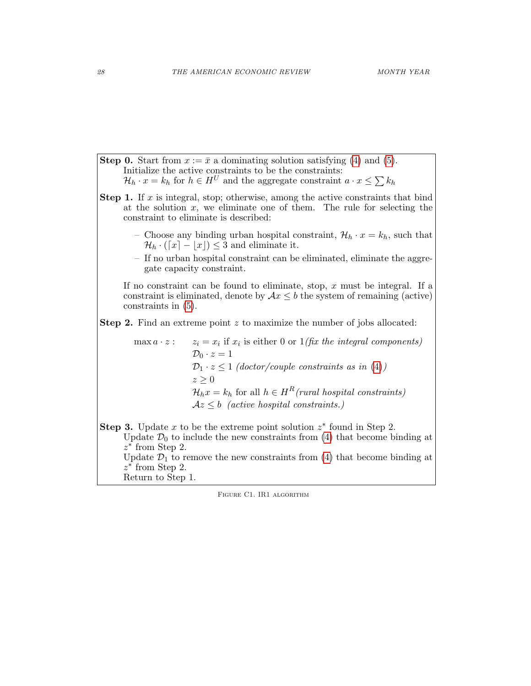**Step 0.** Start from  $x := \bar{x}$  a dominating solution satisfying [\(4\)](#page--1-8) and [\(5\)](#page--1-9). Initialize the active constraints to be the constraints:  $\mathcal{H}_h \cdot x = k_h$  for  $h \in H^U$  and the aggregate constraint  $a \cdot x \leq \sum k_h$ **Step 1.** If  $x$  is integral, stop; otherwise, among the active constraints that bind at the solution x, we eliminate one of them. The rule for selecting the constraint to eliminate is described: – Choose any binding urban hospital constraint,  $\mathcal{H}_h \cdot x = k_h$ , such that  $\mathcal{H}_h \cdot (\lceil x \rceil - |x|) \leq 3$  and eliminate it. – If no urban hospital constraint can be eliminated, eliminate the aggregate capacity constraint. If no constraint can be found to eliminate, stop,  $x$  must be integral. If a constraint is eliminated, denote by  $Ax \leq b$  the system of remaining (active) constraints in [\(5\)](#page--1-9). Step 2. Find an extreme point z to maximize the number of jobs allocated:  $max a \cdot z$ : if  $x_i$  is either 0 or  $1$  (fix the integral components)  $\mathcal{D}_0 \cdot z = 1$  $\mathcal{D}_1 \cdot z \leq 1$  (doctor/couple constraints as in [\(4\)](#page--1-8))  $z \geq 0$  $\mathcal{H}_h x = k_h$  for all  $h \in H^R$ (rural hospital constraints)  $Az \leq b$  (active hospital constraints.) Step 3. Update x to be the extreme point solution  $z^*$  found in Step 2. Update  $\mathcal{D}_0$  to include the new constraints from [\(4\)](#page--1-8) that become binding at  $z^*$  from Step 2. Update  $\mathcal{D}_1$  to remove the new constraints from [\(4\)](#page--1-8) that become binding at  $z^*$  from Step 2.

Return to Step 1.

<span id="page-9-0"></span>Figure C1. IR1 algorithm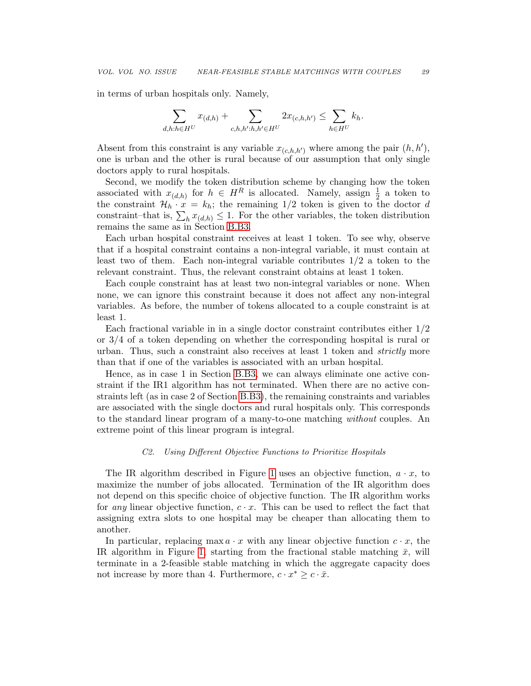in terms of urban hospitals only. Namely,

$$
\sum_{d,h:h \in H^U} x_{(d,h)} + \sum_{c,h,h':h,h' \in H^U} 2x_{(c,h,h')} \le \sum_{h \in H^U} k_h.
$$

Absent from this constraint is any variable  $x_{(c,h,h')}$  where among the pair  $(h, h'),$ one is urban and the other is rural because of our assumption that only single doctors apply to rural hospitals.

Second, we modify the token distribution scheme by changing how the token associated with  $x_{(d,h)}$  for  $h \in H^R$  is allocated. Namely, assign  $\frac{1}{2}$  a token to the constraint  $\mathcal{H}_h \cdot \mathbf{x} = k_h$ ; the remaining 1/2 token is given to the doctor d constraint–that is,  $\sum_h x_{(d,h)} \leq 1$ . For the other variables, the token distribution remains the same as in Section [B.B3.](#page-5-2)

Each urban hospital constraint receives at least 1 token. To see why, observe that if a hospital constraint contains a non-integral variable, it must contain at least two of them. Each non-integral variable contributes 1/2 a token to the relevant constraint. Thus, the relevant constraint obtains at least 1 token.

Each couple constraint has at least two non-integral variables or none. When none, we can ignore this constraint because it does not affect any non-integral variables. As before, the number of tokens allocated to a couple constraint is at least 1.

Each fractional variable in in a single doctor constraint contributes either 1/2 or 3/4 of a token depending on whether the corresponding hospital is rural or urban. Thus, such a constraint also receives at least 1 token and strictly more than that if one of the variables is associated with an urban hospital.

Hence, as in case 1 in Section [B.B3,](#page-5-2) we can always eliminate one active constraint if the IR1 algorithm has not terminated. When there are no active constraints left (as in case 2 of Section [B.B3\)](#page-5-2), the remaining constraints and variables are associated with the single doctors and rural hospitals only. This corresponds to the standard linear program of a many-to-one matching without couples. An extreme point of this linear program is integral.

### C2. Using Different Objective Functions to Prioritize Hospitals

The IR algorithm described in Figure [1](#page--1-12) uses an objective function,  $a \cdot x$ , to maximize the number of jobs allocated. Termination of the IR algorithm does not depend on this specific choice of objective function. The IR algorithm works for any linear objective function,  $c \cdot x$ . This can be used to reflect the fact that assigning extra slots to one hospital may be cheaper than allocating them to another.

In particular, replacing max  $a \cdot x$  with any linear objective function  $c \cdot x$ , the IR algorithm in Figure [1,](#page--1-12) starting from the fractional stable matching  $\bar{x}$ , will terminate in a 2-feasible stable matching in which the aggregate capacity does not increase by more than 4. Furthermore,  $c \cdot x^* \geq c \cdot \bar{x}$ .